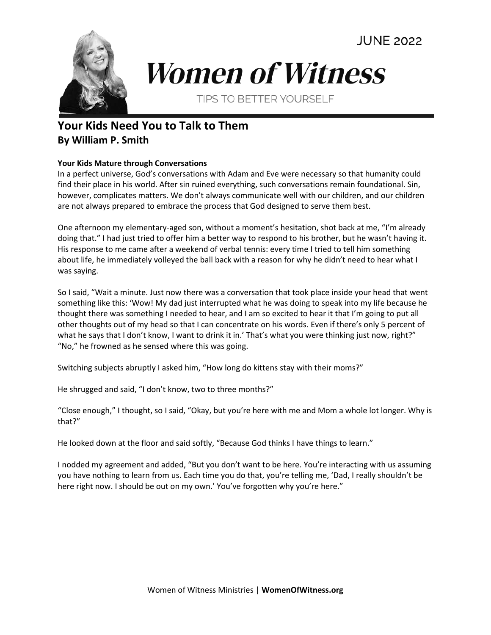**JUNE 2022** 



## **Women of Witness**

TIPS TO BETTER YOURSELF

## **Your Kids Need You to Talk to Them By William P. Smith**

## **Your Kids Mature through Conversations**

In a perfect universe, God's conversations with Adam and Eve were necessary so that humanity could find their place in his world. After sin ruined everything, such conversations remain foundational. Sin, however, complicates matters. We don't always communicate well with our children, and our children are not always prepared to embrace the process that God designed to serve them best.

One afternoon my elementary-aged son, without a moment's hesitation, shot back at me, "I'm already doing that." I had just tried to offer him a better way to respond to his brother, but he wasn't having it. His response to me came after a weekend of verbal tennis: every time I tried to tell him something about life, he immediately volleyed the ball back with a reason for why he didn't need to hear what I was saying.

So I said, "Wait a minute. Just now there was a conversation that took place inside your head that went something like this: 'Wow! My dad just interrupted what he was doing to speak into my life because he thought there was something I needed to hear, and I am so excited to hear it that I'm going to put all other thoughts out of my head so that I can concentrate on his words. Even if there's only 5 percent of what he says that I don't know, I want to drink it in.' That's what you were thinking just now, right?" "No," he frowned as he sensed where this was going.

Switching subjects abruptly I asked him, "How long do kittens stay with their moms?"

He shrugged and said, "I don't know, two to three months?"

"Close enough," I thought, so I said, "Okay, but you're here with me and Mom a whole lot longer. Why is that?"

He looked down at the floor and said softly, "Because God thinks I have things to learn."

I nodded my agreement and added, "But you don't want to be here. You're interacting with us assuming you have nothing to learn from us. Each time you do that, you're telling me, 'Dad, I really shouldn't be here right now. I should be out on my own.' You've forgotten why you're here."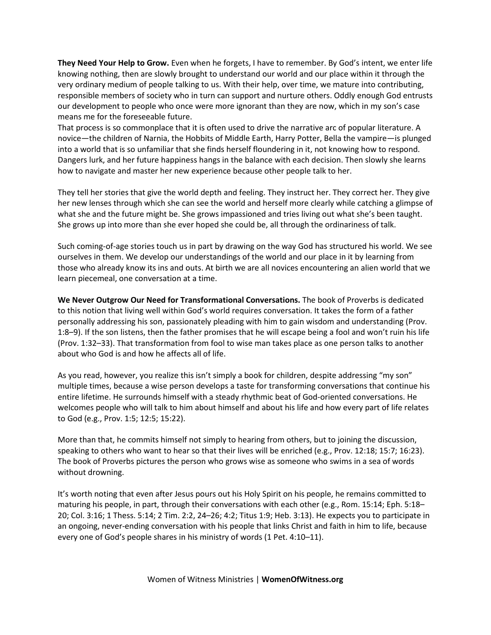**They Need Your Help to Grow.** Even when he forgets, I have to remember. By God's intent, we enter life knowing nothing, then are slowly brought to understand our world and our place within it through the very ordinary medium of people talking to us. With their help, over time, we mature into contributing, responsible members of society who in turn can support and nurture others. Oddly enough God entrusts our development to people who once were more ignorant than they are now, which in my son's case means me for the foreseeable future.

That process is so commonplace that it is often used to drive the narrative arc of popular literature. A novice—the children of Narnia, the Hobbits of Middle Earth, Harry Potter, Bella the vampire—is plunged into a world that is so unfamiliar that she finds herself floundering in it, not knowing how to respond. Dangers lurk, and her future happiness hangs in the balance with each decision. Then slowly she learns how to navigate and master her new experience because other people talk to her.

They tell her stories that give the world depth and feeling. They instruct her. They correct her. They give her new lenses through which she can see the world and herself more clearly while catching a glimpse of what she and the future might be. She grows impassioned and tries living out what she's been taught. She grows up into more than she ever hoped she could be, all through the ordinariness of talk.

Such coming-of-age stories touch us in part by drawing on the way God has structured his world. We see ourselves in them. We develop our understandings of the world and our place in it by learning from those who already know its ins and outs. At birth we are all novices encountering an alien world that we learn piecemeal, one conversation at a time.

**We Never Outgrow Our Need for Transformational Conversations.** The book of Proverbs is dedicated to this notion that living well within God's world requires conversation. It takes the form of a father personally addressing his son, passionately pleading with him to gain wisdom and understanding (Prov. 1:8–9). If the son listens, then the father promises that he will escape being a fool and won't ruin his life (Prov. 1:32–33). That transformation from fool to wise man takes place as one person talks to another about who God is and how he affects all of life.

As you read, however, you realize this isn't simply a book for children, despite addressing "my son" multiple times, because a wise person develops a taste for transforming conversations that continue his entire lifetime. He surrounds himself with a steady rhythmic beat of God-oriented conversations. He welcomes people who will talk to him about himself and about his life and how every part of life relates to God (e.g., Prov. 1:5; 12:5; 15:22).

More than that, he commits himself not simply to hearing from others, but to joining the discussion, speaking to others who want to hear so that their lives will be enriched (e.g., Prov. 12:18; 15:7; 16:23). The book of Proverbs pictures the person who grows wise as someone who swims in a sea of words without drowning.

It's worth noting that even after Jesus pours out his Holy Spirit on his people, he remains committed to maturing his people, in part, through their conversations with each other (e.g., Rom. 15:14; Eph. 5:18– 20; Col. 3:16; 1 Thess. 5:14; 2 Tim. 2:2, 24–26; 4:2; Titus 1:9; Heb. 3:13). He expects you to participate in an ongoing, never-ending conversation with his people that links Christ and faith in him to life, because every one of God's people shares in his ministry of words (1 Pet. 4:10–11).